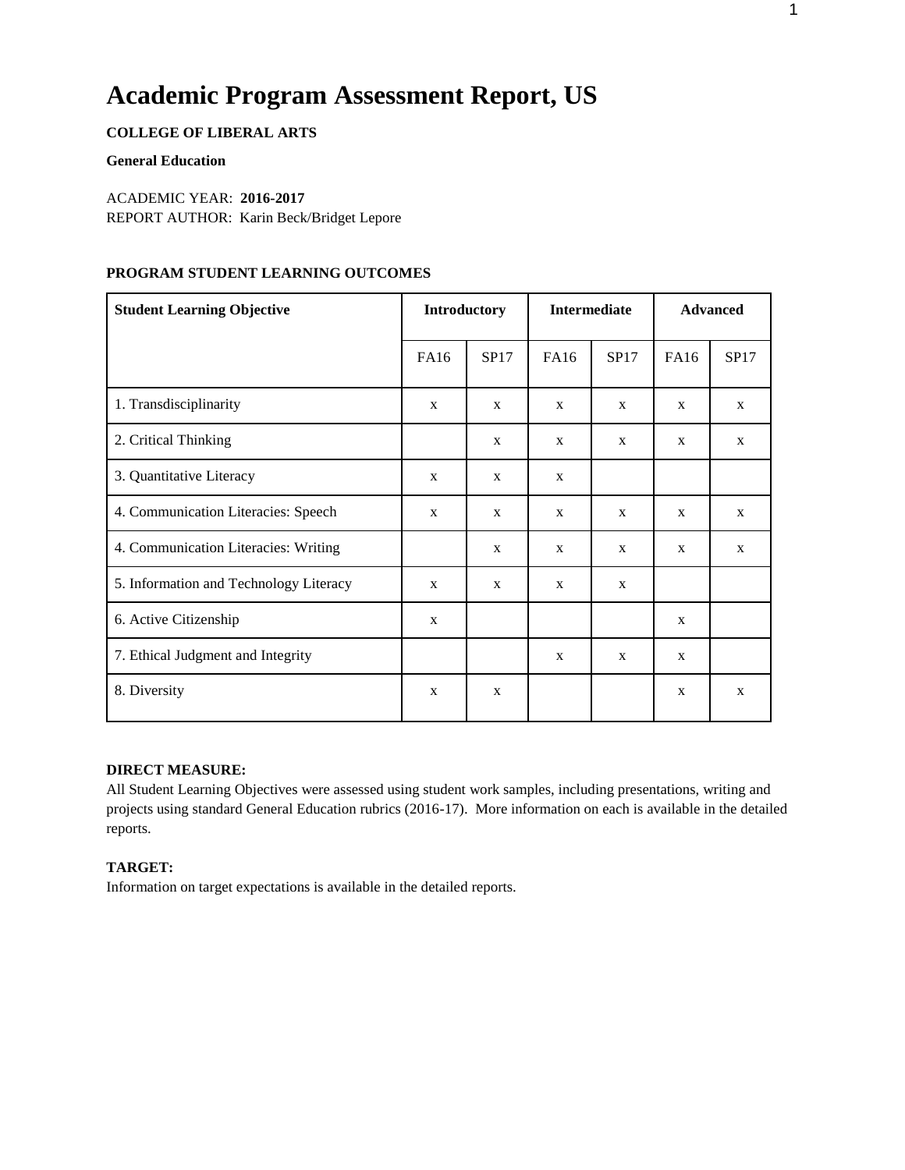# **Academic Program Assessment Report, US**

# **COLLEGE OF LIBERAL ARTS**

#### **General Education**

#### ACADEMIC YEAR: **2016-2017**

REPORT AUTHOR: Karin Beck/Bridget Lepore

## **PROGRAM STUDENT LEARNING OUTCOMES**

| <b>Student Learning Objective</b>      |              | <b>Introductory</b> |             | <b>Intermediate</b> | <b>Advanced</b> |              |  |
|----------------------------------------|--------------|---------------------|-------------|---------------------|-----------------|--------------|--|
|                                        | <b>FA16</b>  | SP17                | <b>FA16</b> | SP17                | <b>FA16</b>     | SP17         |  |
| 1. Transdisciplinarity                 | X            | X                   | X           | X                   | X               | $\mathbf{X}$ |  |
| 2. Critical Thinking                   |              | X                   | X           | X                   | $\mathbf{x}$    | $\mathbf{X}$ |  |
| 3. Quantitative Literacy               | X            | X                   | X           |                     |                 |              |  |
| 4. Communication Literacies: Speech    | X            | X                   | X           | X                   | X               | $\mathbf{X}$ |  |
| 4. Communication Literacies: Writing   |              | X                   | X           | X                   | X               | $\mathbf{X}$ |  |
| 5. Information and Technology Literacy | X            | X                   | X           | X                   |                 |              |  |
| 6. Active Citizenship                  | $\mathbf{x}$ |                     |             |                     | $\mathbf{x}$    |              |  |
| 7. Ethical Judgment and Integrity      |              |                     | X           | X                   | $\mathbf{X}$    |              |  |
| 8. Diversity                           | $\mathbf{x}$ | X                   |             |                     | $\mathbf{x}$    | $\mathbf{X}$ |  |

#### **DIRECT MEASURE:**

All Student Learning Objectives were assessed using student work samples, including presentations, writing and projects using standard General Education rubrics (2016-17). More information on each is available in the detailed reports.

#### **TARGET:**

Information on target expectations is available in the detailed reports.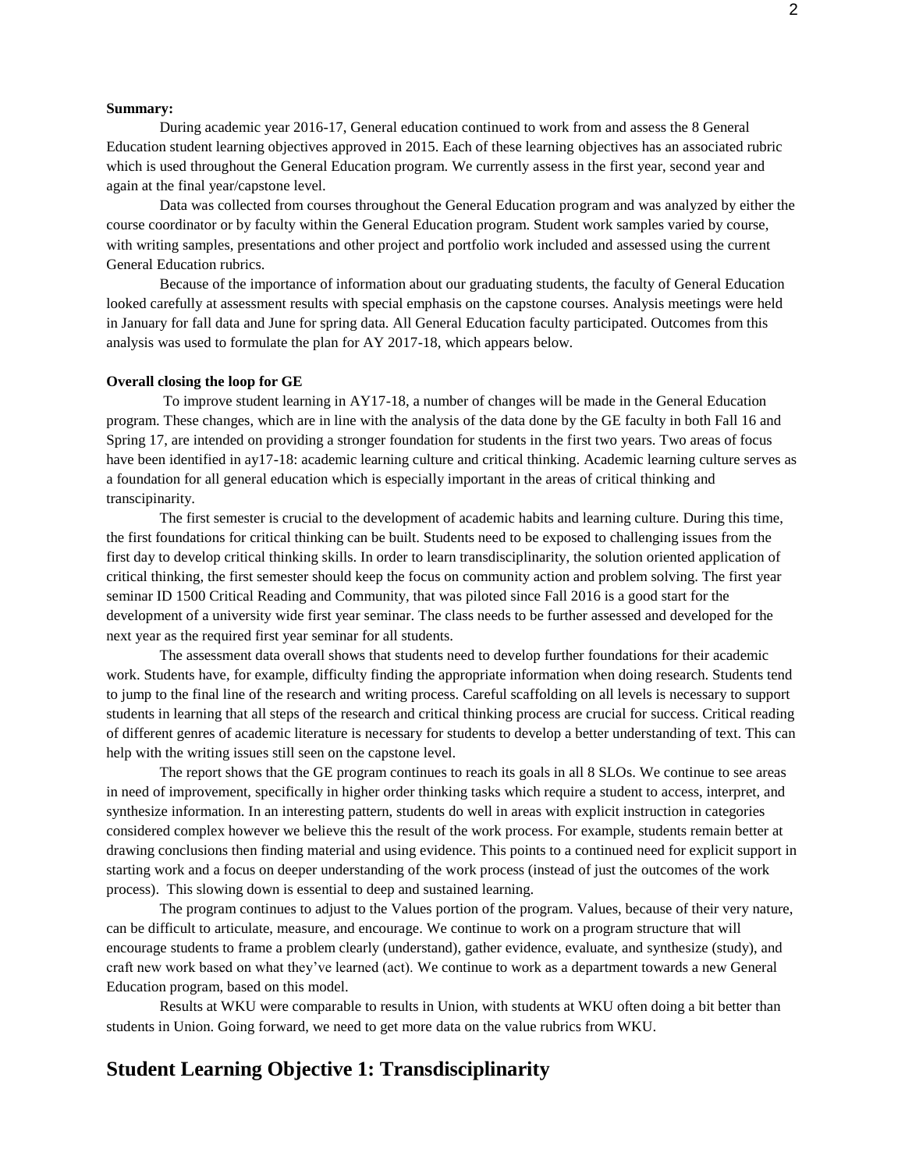#### **Summary:**

During academic year 2016-17, General education continued to work from and assess the 8 General Education student learning objectives approved in 2015. Each of these learning objectives has an associated rubric which is used throughout the General Education program. We currently assess in the first year, second year and again at the final year/capstone level.

Data was collected from courses throughout the General Education program and was analyzed by either the course coordinator or by faculty within the General Education program. Student work samples varied by course, with writing samples, presentations and other project and portfolio work included and assessed using the current General Education rubrics.

Because of the importance of information about our graduating students, the faculty of General Education looked carefully at assessment results with special emphasis on the capstone courses. Analysis meetings were held in January for fall data and June for spring data. All General Education faculty participated. Outcomes from this analysis was used to formulate the plan for AY 2017-18, which appears below.

#### **Overall closing the loop for GE**

To improve student learning in AY17-18, a number of changes will be made in the General Education program. These changes, which are in line with the analysis of the data done by the GE faculty in both Fall 16 and Spring 17, are intended on providing a stronger foundation for students in the first two years. Two areas of focus have been identified in ay17-18: academic learning culture and critical thinking. Academic learning culture serves as a foundation for all general education which is especially important in the areas of critical thinking and transcipinarity.

The first semester is crucial to the development of academic habits and learning culture. During this time, the first foundations for critical thinking can be built. Students need to be exposed to challenging issues from the first day to develop critical thinking skills. In order to learn transdisciplinarity, the solution oriented application of critical thinking, the first semester should keep the focus on community action and problem solving. The first year seminar ID 1500 Critical Reading and Community, that was piloted since Fall 2016 is a good start for the development of a university wide first year seminar. The class needs to be further assessed and developed for the next year as the required first year seminar for all students.

The assessment data overall shows that students need to develop further foundations for their academic work. Students have, for example, difficulty finding the appropriate information when doing research. Students tend to jump to the final line of the research and writing process. Careful scaffolding on all levels is necessary to support students in learning that all steps of the research and critical thinking process are crucial for success. Critical reading of different genres of academic literature is necessary for students to develop a better understanding of text. This can help with the writing issues still seen on the capstone level.

The report shows that the GE program continues to reach its goals in all 8 SLOs. We continue to see areas in need of improvement, specifically in higher order thinking tasks which require a student to access, interpret, and synthesize information. In an interesting pattern, students do well in areas with explicit instruction in categories considered complex however we believe this the result of the work process. For example, students remain better at drawing conclusions then finding material and using evidence. This points to a continued need for explicit support in starting work and a focus on deeper understanding of the work process (instead of just the outcomes of the work process). This slowing down is essential to deep and sustained learning.

The program continues to adjust to the Values portion of the program. Values, because of their very nature, can be difficult to articulate, measure, and encourage. We continue to work on a program structure that will encourage students to frame a problem clearly (understand), gather evidence, evaluate, and synthesize (study), and craft new work based on what they've learned (act). We continue to work as a department towards a new General Education program, based on this model.

Results at WKU were comparable to results in Union, with students at WKU often doing a bit better than students in Union. Going forward, we need to get more data on the value rubrics from WKU.

# **Student Learning Objective 1: Transdisciplinarity**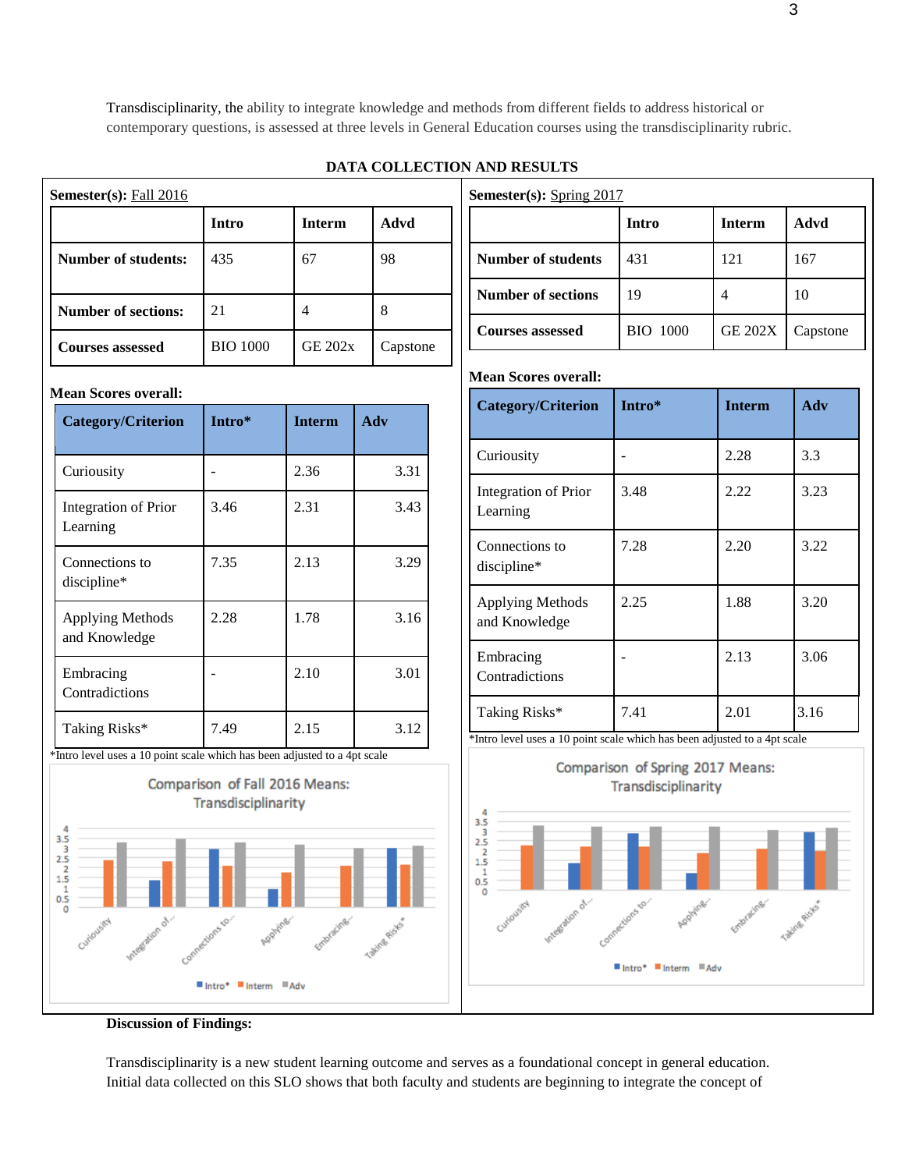Transdisciplinarity, the ability to integrate knowledge and methods from different fields to address historical or contemporary questions, is assessed at three levels in General Education courses using the transdisciplinarity rubric.

## **DATA COLLECTION AND RESULTS**

| <b>Semester(s):</b> Fall $2016$ |                 |                |          |  |  |  |  |
|---------------------------------|-----------------|----------------|----------|--|--|--|--|
|                                 | <b>Intro</b>    | <b>Interm</b>  | Advd     |  |  |  |  |
| <b>Number of students:</b>      | 435             | 67             | 98       |  |  |  |  |
| <b>Number of sections:</b>      | 21              |                | 8        |  |  |  |  |
| <b>Courses assessed</b>         | <b>BIO 1000</b> | <b>GE 202x</b> | Capstone |  |  |  |  |

#### **Mean Scores overall:**

| <b>Category/Criterion</b>                                                                          | Intro*                            | <b>Interm</b> | Adv                                    |  |
|----------------------------------------------------------------------------------------------------|-----------------------------------|---------------|----------------------------------------|--|
| Curiousity                                                                                         |                                   | 2.36          | 3.31                                   |  |
| Integration of Prior<br>Learning                                                                   | 3.46                              | 2.31          | 3.43                                   |  |
| Connections to<br>discipline*                                                                      | 7.35                              | 2.13          | 3.29                                   |  |
| <b>Applying Methods</b><br>and Knowledge                                                           | 2.28                              | 1.78          | 3.16                                   |  |
| Embracing<br>Contradictions                                                                        |                                   | 2.10          | 3.01                                   |  |
| Taking Risks*<br>$\ddot{\phantom{0}}$<br>$\sim$<br>start of the<br>$\sim$ $\sim$<br>$\blacksquare$ | 7.49<br>1.1.1.1<br>$\blacksquare$ | 2.15          | 3.12<br>$\blacksquare$<br>$\mathbf{I}$ |  |









Transdisciplinarity is a new student learning outcome and serves as a foundational concept in general education. Initial data collected on this SLO shows that both faculty and students are beginning to integrate the concept of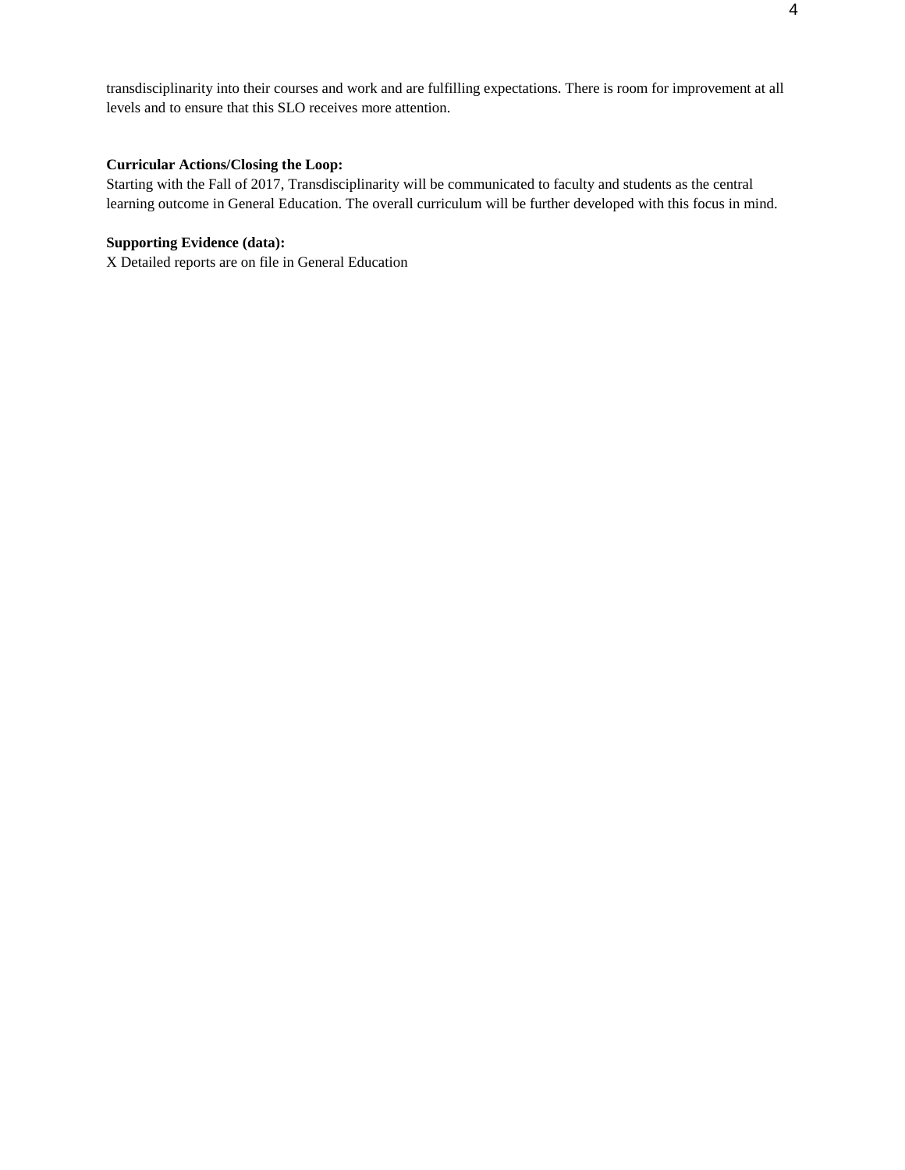transdisciplinarity into their courses and work and are fulfilling expectations. There is room for improvement at all levels and to ensure that this SLO receives more attention.

# **Curricular Actions/Closing the Loop:**

Starting with the Fall of 2017, Transdisciplinarity will be communicated to faculty and students as the central learning outcome in General Education. The overall curriculum will be further developed with this focus in mind.

# **Supporting Evidence (data):**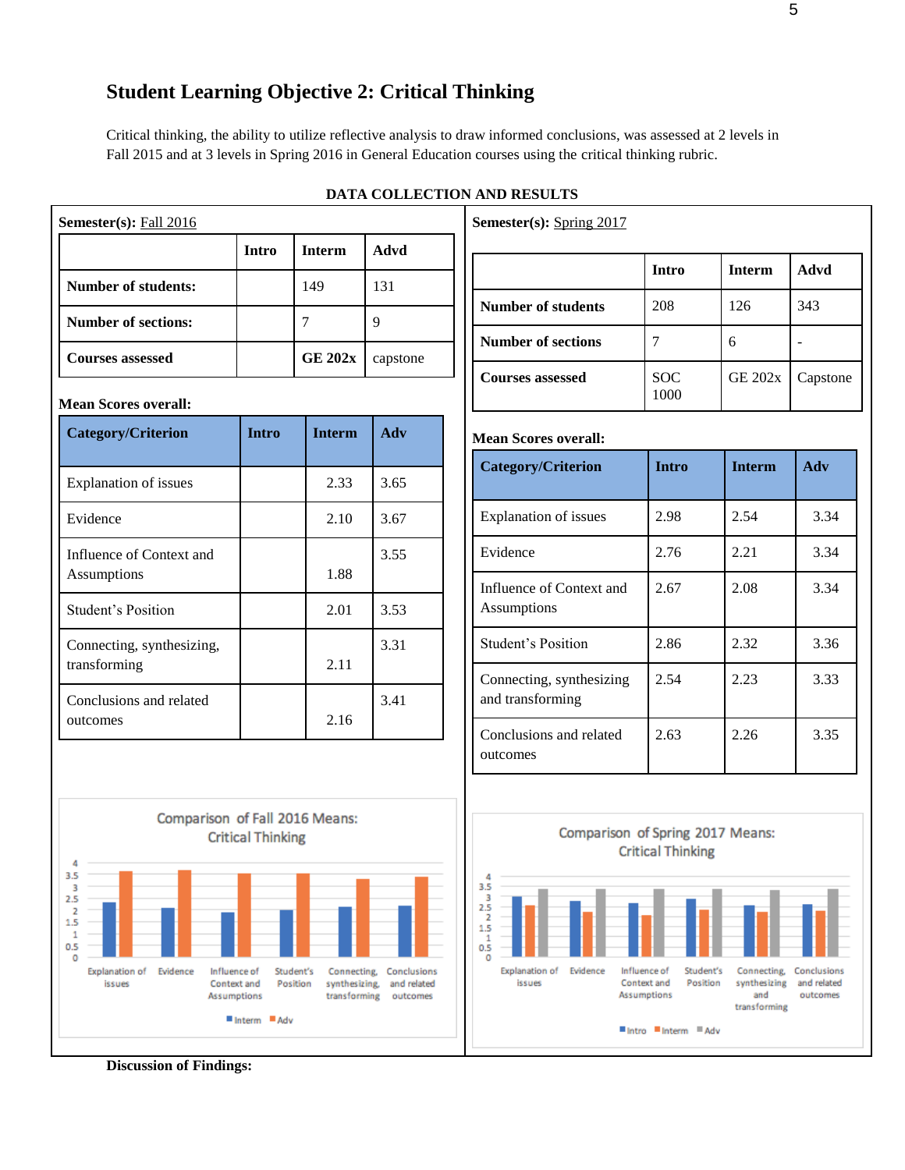# **Student Learning Objective 2: Critical Thinking**

Critical thinking, the ability to utilize reflective analysis to draw informed conclusions, was assessed at 2 levels in Fall 2015 and at 3 levels in Spring 2016 in General Education courses using the critical thinking rubric.

| Semester(s): Fall 2016       |              |                |             | Semester(s): Spring 2017     |                    |                |  |
|------------------------------|--------------|----------------|-------------|------------------------------|--------------------|----------------|--|
|                              | <b>Intro</b> | <b>Interm</b>  | <b>Advd</b> |                              | <b>Intro</b>       | <b>Interm</b>  |  |
| <b>Number of students:</b>   |              | 149            | 131         | <b>Number of students</b>    | 208                | 126            |  |
| <b>Number of sections:</b>   |              | $\tau$         | 9           |                              |                    |                |  |
| <b>Courses assessed</b>      |              | <b>GE 202x</b> | capstone    | <b>Number of sections</b>    | $\overline{7}$     | 6              |  |
| <b>Mean Scores overall:</b>  |              |                |             | <b>Courses assessed</b>      | <b>SOC</b><br>1000 | <b>GE 202x</b> |  |
| <b>Category/Criterion</b>    | <b>Intro</b> | <b>Interm</b>  | Adv         | <b>Mean Scores overall:</b>  |                    |                |  |
| <b>Explanation of issues</b> |              | 2.33           | 3.65        | <b>Category/Criterion</b>    | <b>Intro</b>       | <b>Interm</b>  |  |
| Evidence                     |              | 2.10           | 3.67        | <b>Explanation of issues</b> | 2.98               | 2.54           |  |
| Influence of Context and     |              |                | 3.55        | Evidence                     | 2.76               | 2.21           |  |
| Assumptions                  |              | 1.88           |             | Influence of Context and     | 2.67               | 2.08           |  |
| <b>Student's Position</b>    |              | 2.01           | 3.53        | Assumptions                  |                    |                |  |
| Connecting, synthesizing,    |              |                | 3.31        | <b>Student's Position</b>    | 2.86               | 2.32           |  |
| transforming                 |              | 2.11           |             | Connecting, synthesizing     | 2.54               | 2.23           |  |
| Conclusions and related      |              |                | 3.41        | and transforming             |                    |                |  |
| outcomes                     |              | 2.16           |             | Conclusions and related      | 2.63               | 2.26           |  |
|                              |              |                |             | outcomes                     |                    |                |  |





**Critical Thinking**  $3.\overline{5}$  $2.5$ <br> $2.5$ <br> $1.5$  $\frac{1}{0.5}$ o Evidence **Explanation of** Influence of Student's Connecting, Conclusions issues Context and Position synthesizing Assumptions and transforming

Comparison of Spring 2017 Means:

■Intro ■Interm ■Adv

and related

outcomes

**Discussion of Findings:**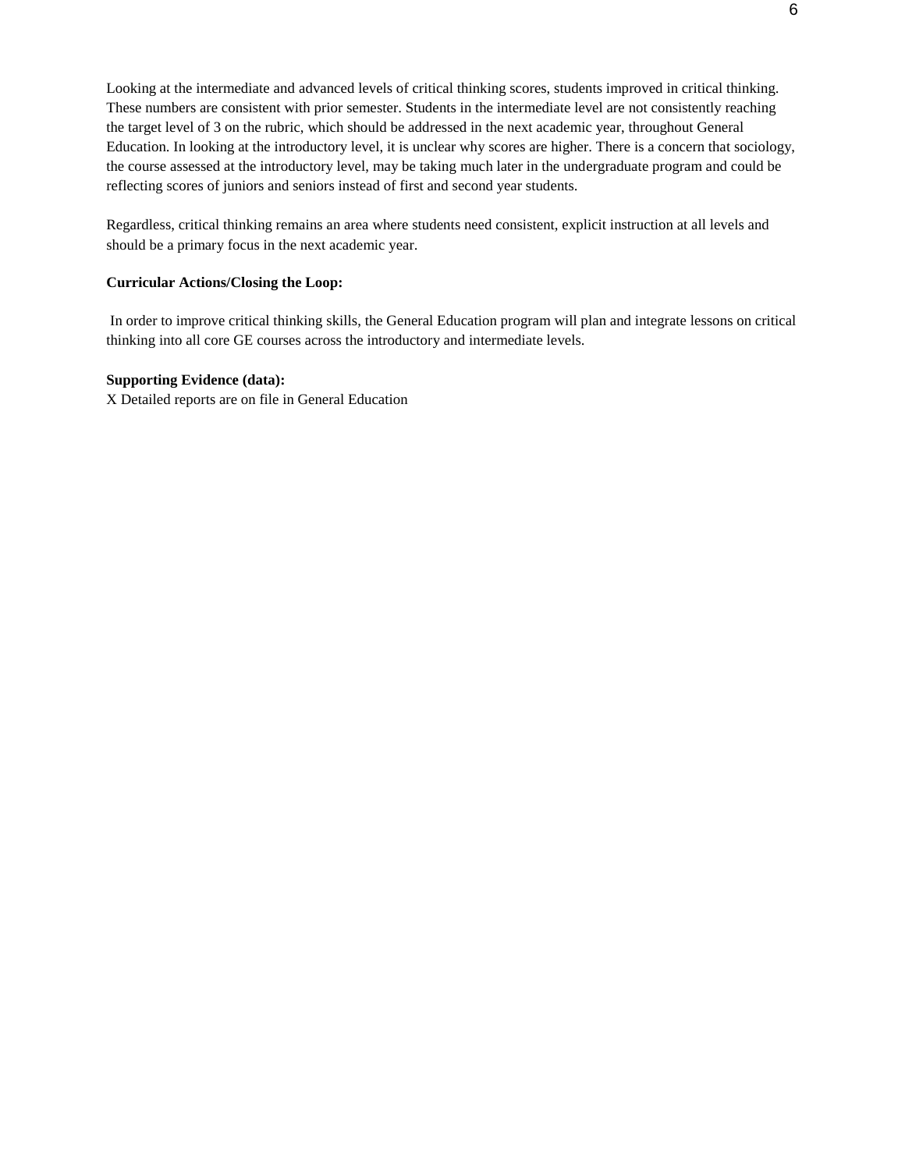Looking at the intermediate and advanced levels of critical thinking scores, students improved in critical thinking. These numbers are consistent with prior semester. Students in the intermediate level are not consistently reaching the target level of 3 on the rubric, which should be addressed in the next academic year, throughout General Education. In looking at the introductory level, it is unclear why scores are higher. There is a concern that sociology, the course assessed at the introductory level, may be taking much later in the undergraduate program and could be reflecting scores of juniors and seniors instead of first and second year students.

Regardless, critical thinking remains an area where students need consistent, explicit instruction at all levels and should be a primary focus in the next academic year.

### **Curricular Actions/Closing the Loop:**

In order to improve critical thinking skills, the General Education program will plan and integrate lessons on critical thinking into all core GE courses across the introductory and intermediate levels.

#### **Supporting Evidence (data):**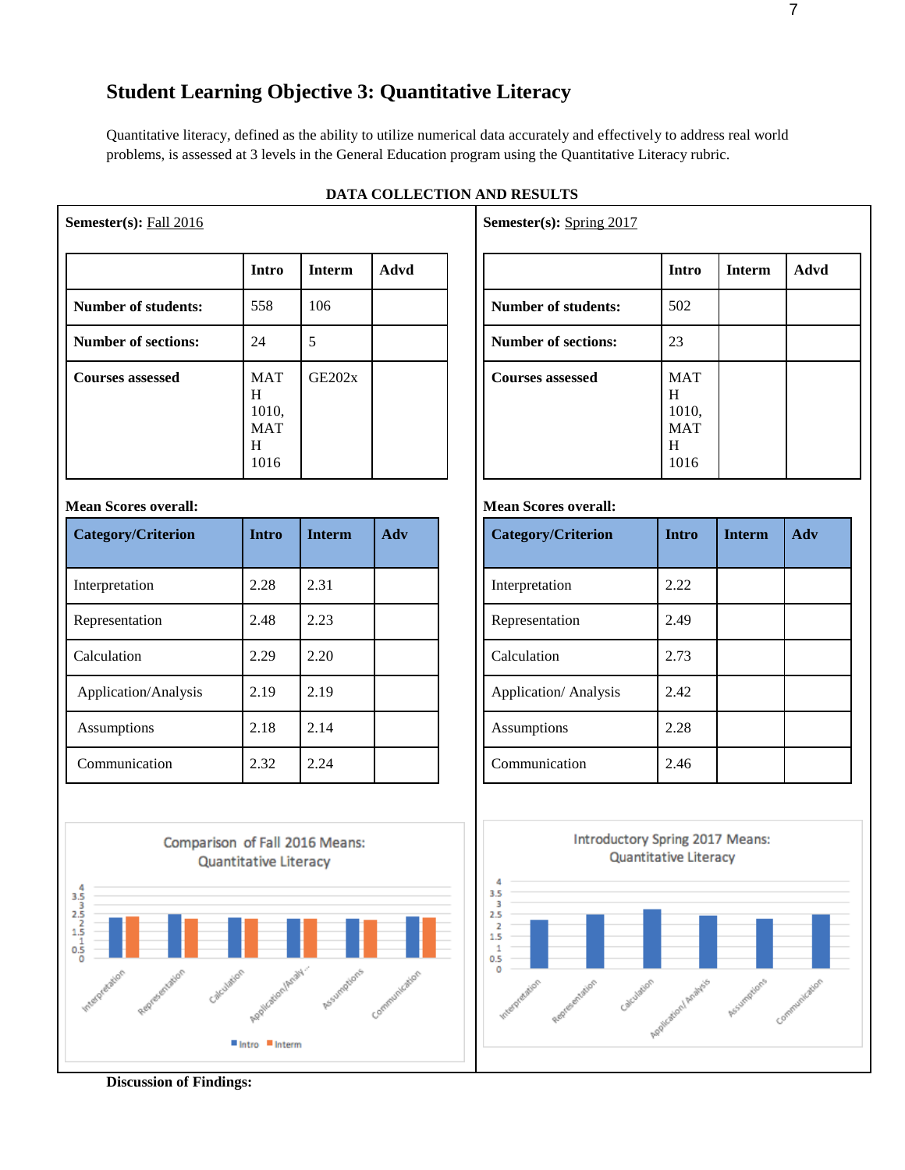# **Student Learning Objective 3: Quantitative Literacy**

Quantitative literacy, defined as the ability to utilize numerical data accurately and effectively to address real world problems, is assessed at 3 levels in the General Education program using the Quantitative Literacy rubric.

|                            | Intro                                               | <b>Interm</b> | Advd |
|----------------------------|-----------------------------------------------------|---------------|------|
| <b>Number of students:</b> | 558                                                 | 106           |      |
| <b>Number of sections:</b> | 24                                                  | 5             |      |
| <b>Courses assessed</b>    | <b>MAT</b><br>H<br>1010,<br><b>MAT</b><br>H<br>1016 | GE202x        |      |

## **DATA COLLECTION AND RESULTS**

## **Mean Scores overall:**

**Semester(s):** Fall 2016

| Category/Criterion   | <b>Intro</b> | <b>Interm</b> | Adv |
|----------------------|--------------|---------------|-----|
| Interpretation       | 2.28         | 2.31          |     |
| Representation       | 2.48         | 2.23          |     |
| Calculation          | 2.29         | 2.20          |     |
| Application/Analysis | 2.19         | 2.19          |     |
| Assumptions          | 2.18         | 2.14          |     |
| Communication        | 2.32         | 2.24          |     |



**Semester(s):** Spring 2017

|                            | <b>Intro</b>                                        | <b>Interm</b> | Advd |
|----------------------------|-----------------------------------------------------|---------------|------|
| <b>Number of students:</b> | 502                                                 |               |      |
| <b>Number of sections:</b> | 23                                                  |               |      |
| <b>Courses assessed</b>    | <b>MAT</b><br>H<br>1010,<br><b>MAT</b><br>H<br>1016 |               |      |

#### **Mean Scores overall:**

| <b>Category/Criterion</b> | <b>Intro</b> | <b>Interm</b> | Adv |
|---------------------------|--------------|---------------|-----|
| Interpretation            | 2.22         |               |     |
| Representation            | 2.49         |               |     |
| Calculation               | 2.73         |               |     |
| Application/Analysis      | 2.42         |               |     |
| Assumptions               | 2.28         |               |     |
| Communication             | 2.46         |               |     |



**Discussion of Findings:**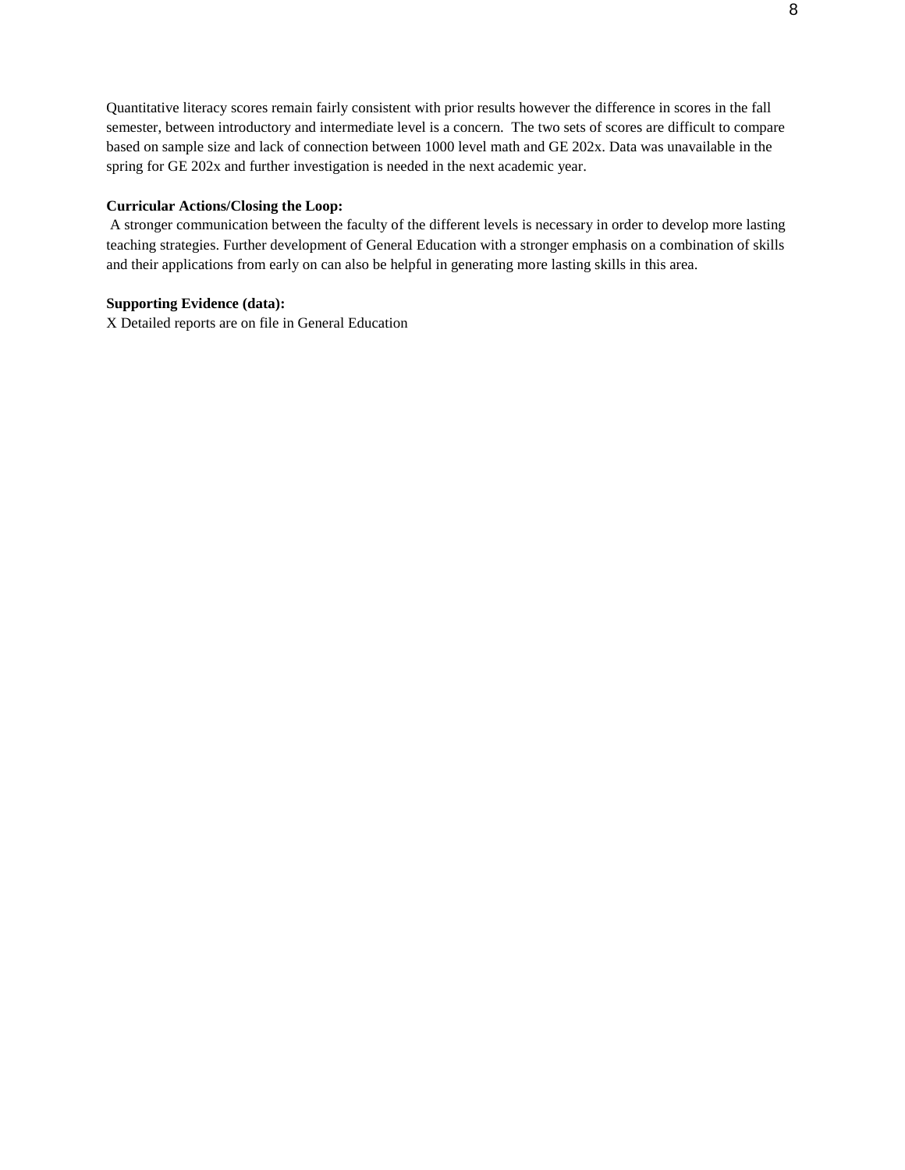Quantitative literacy scores remain fairly consistent with prior results however the difference in scores in the fall semester, between introductory and intermediate level is a concern. The two sets of scores are difficult to compare based on sample size and lack of connection between 1000 level math and GE 202x. Data was unavailable in the spring for GE 202x and further investigation is needed in the next academic year.

#### **Curricular Actions/Closing the Loop:**

A stronger communication between the faculty of the different levels is necessary in order to develop more lasting teaching strategies. Further development of General Education with a stronger emphasis on a combination of skills and their applications from early on can also be helpful in generating more lasting skills in this area.

## **Supporting Evidence (data):**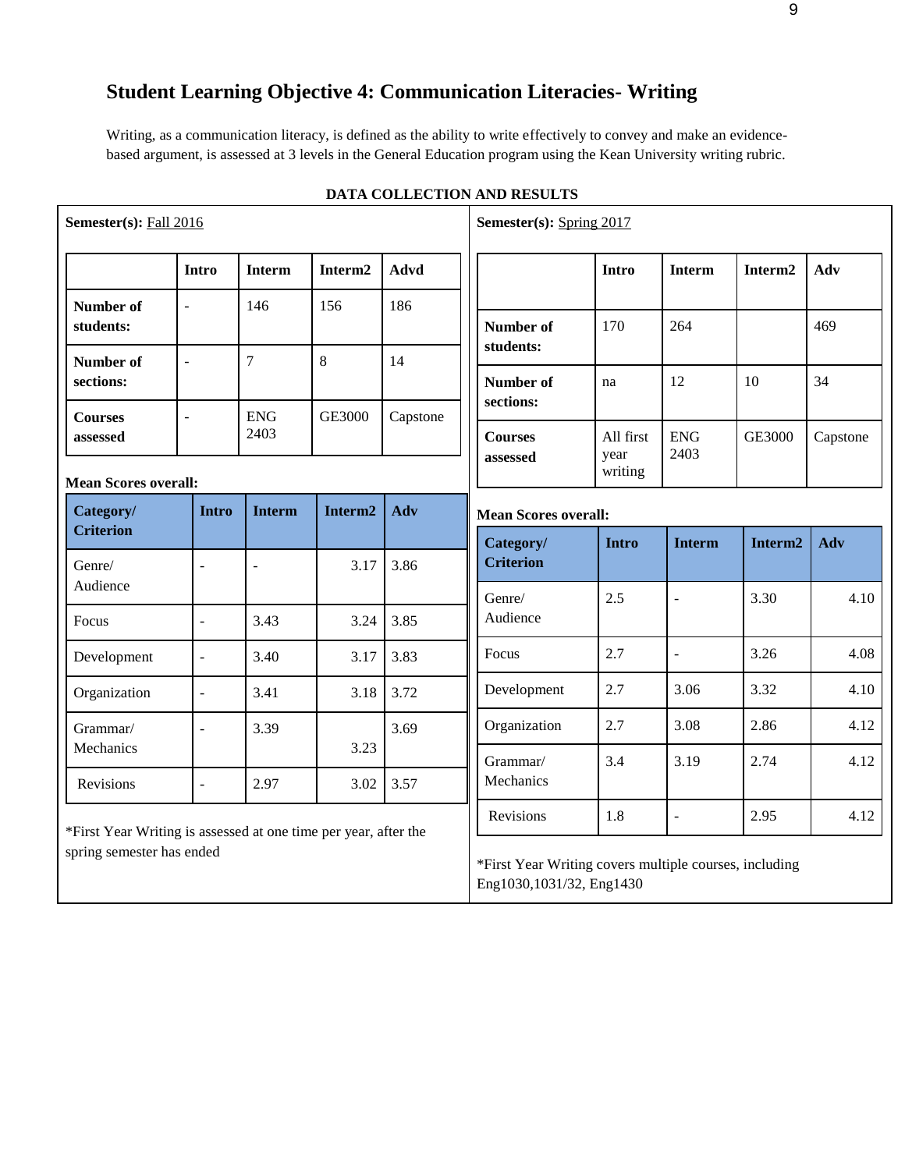# **Student Learning Objective 4: Communication Literacies- Writing**

Writing, as a communication literacy, is defined as the ability to write effectively to convey and make an evidencebased argument, is assessed at 3 levels in the General Education program using the Kean University writing rubric.

| Semester(s): Fall 2016                                          |                |                    |                     |          | Semester(s): Spring 2017                                                           |                 |                    |               |  |
|-----------------------------------------------------------------|----------------|--------------------|---------------------|----------|------------------------------------------------------------------------------------|-----------------|--------------------|---------------|--|
|                                                                 | <b>Intro</b>   | <b>Interm</b>      | Interm2             | Advd     |                                                                                    | <b>Intro</b>    | <b>Interm</b>      | Interm2       |  |
| Number of<br>students:                                          | $\overline{a}$ | 146                | 156                 | 186      | Number of                                                                          | 170             | 264                |               |  |
| Number of<br>sections:                                          | $\frac{1}{2}$  | $\overline{7}$     | 8                   | 14       | students:<br>Number of                                                             | na              | 12                 | 10            |  |
| <b>Courses</b><br>assessed                                      | $\overline{a}$ | <b>ENG</b><br>2403 | <b>GE3000</b>       | Capstone | sections:<br><b>Courses</b>                                                        | All first       | <b>ENG</b><br>2403 | <b>GE3000</b> |  |
| <b>Mean Scores overall:</b>                                     |                |                    |                     |          | assessed                                                                           | year<br>writing |                    |               |  |
| Category/                                                       | <b>Intro</b>   | <b>Interm</b>      | Interm <sub>2</sub> | Adv      | <b>Mean Scores overall:</b>                                                        |                 |                    |               |  |
| <b>Criterion</b>                                                |                |                    |                     |          | Category/                                                                          | <b>Intro</b>    | <b>Interm</b>      | Interm2       |  |
| Genre/<br>Audience                                              | ÷,             | $\overline{a}$     | 3.17                | 3.86     | <b>Criterion</b>                                                                   |                 |                    |               |  |
| Focus                                                           | $\overline{a}$ | 3.43               | 3.24                | 3.85     | Genre/<br>Audience                                                                 | 2.5             | ÷,                 | 3.30          |  |
| Development                                                     | $\Box$         | 3.40               | 3.17                | 3.83     | Focus                                                                              | 2.7             | $\blacksquare$     | 3.26          |  |
| Organization                                                    | $\blacksquare$ | 3.41               | 3.18                | 3.72     | Development                                                                        | 2.7             | 3.06               | 3.32          |  |
| Grammar/                                                        | J.             | 3.39               |                     | 3.69     | Organization                                                                       | 2.7             | 3.08               | 2.86          |  |
| Mechanics                                                       |                |                    | 3.23                |          | Grammar/                                                                           | 3.4             | 3.19               | 2.74          |  |
| Revisions                                                       | $\blacksquare$ | 2.97               | 3.02                | 3.57     | Mechanics                                                                          |                 |                    |               |  |
| *First Year Writing is assessed at one time per year, after the |                |                    |                     |          | Revisions                                                                          | 1.8             | $\overline{a}$     | 2.95          |  |
| spring semester has ended                                       |                |                    |                     |          | *First Year Writing covers multiple courses, including<br>Eng1030,1031/32, Eng1430 |                 |                    |               |  |

# **DATA COLLECTION AND RESULTS**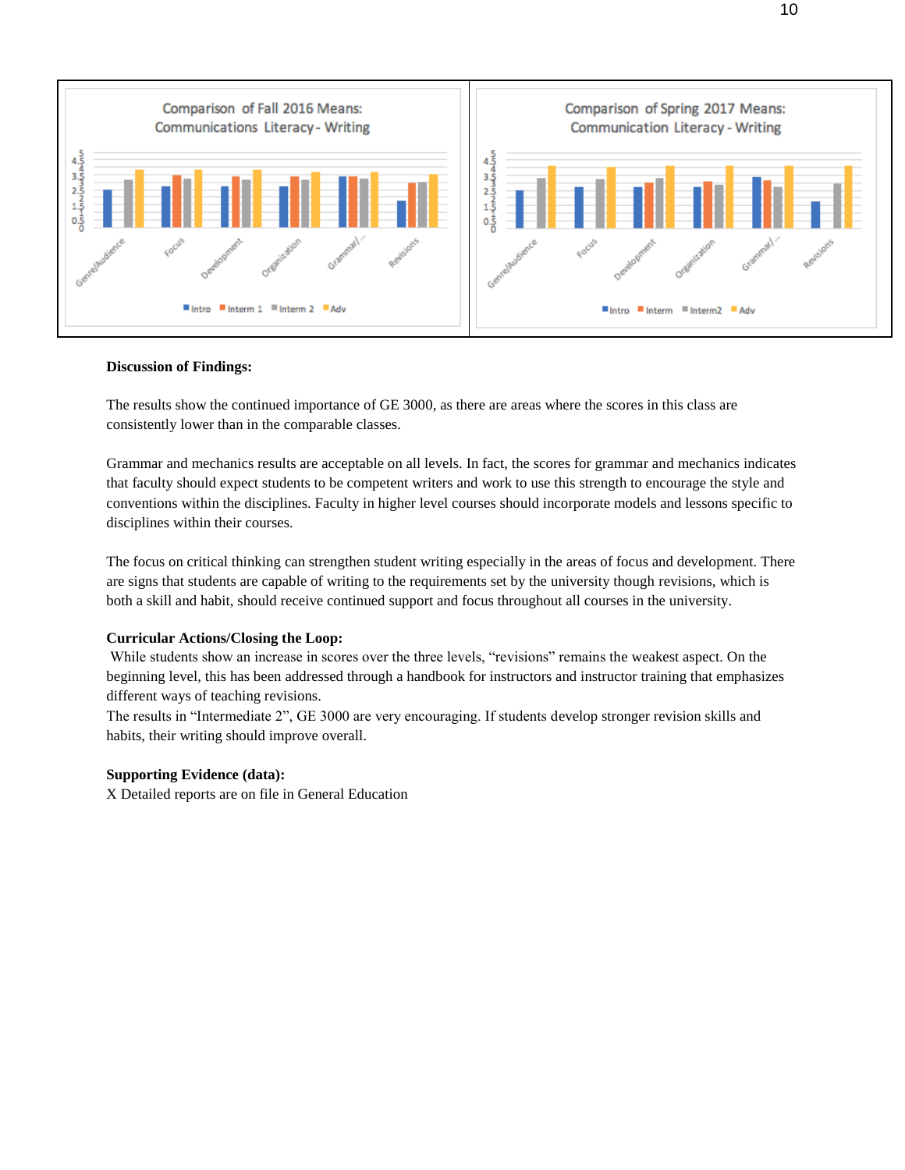

#### **Discussion of Findings:**

The results show the continued importance of GE 3000, as there are areas where the scores in this class are consistently lower than in the comparable classes.

Grammar and mechanics results are acceptable on all levels. In fact, the scores for grammar and mechanics indicates that faculty should expect students to be competent writers and work to use this strength to encourage the style and conventions within the disciplines. Faculty in higher level courses should incorporate models and lessons specific to disciplines within their courses.

The focus on critical thinking can strengthen student writing especially in the areas of focus and development. There are signs that students are capable of writing to the requirements set by the university though revisions, which is both a skill and habit, should receive continued support and focus throughout all courses in the university.

#### **Curricular Actions/Closing the Loop:**

While students show an increase in scores over the three levels, "revisions" remains the weakest aspect. On the beginning level, this has been addressed through a handbook for instructors and instructor training that emphasizes different ways of teaching revisions.

The results in "Intermediate 2", GE 3000 are very encouraging. If students develop stronger revision skills and habits, their writing should improve overall.

#### **Supporting Evidence (data):**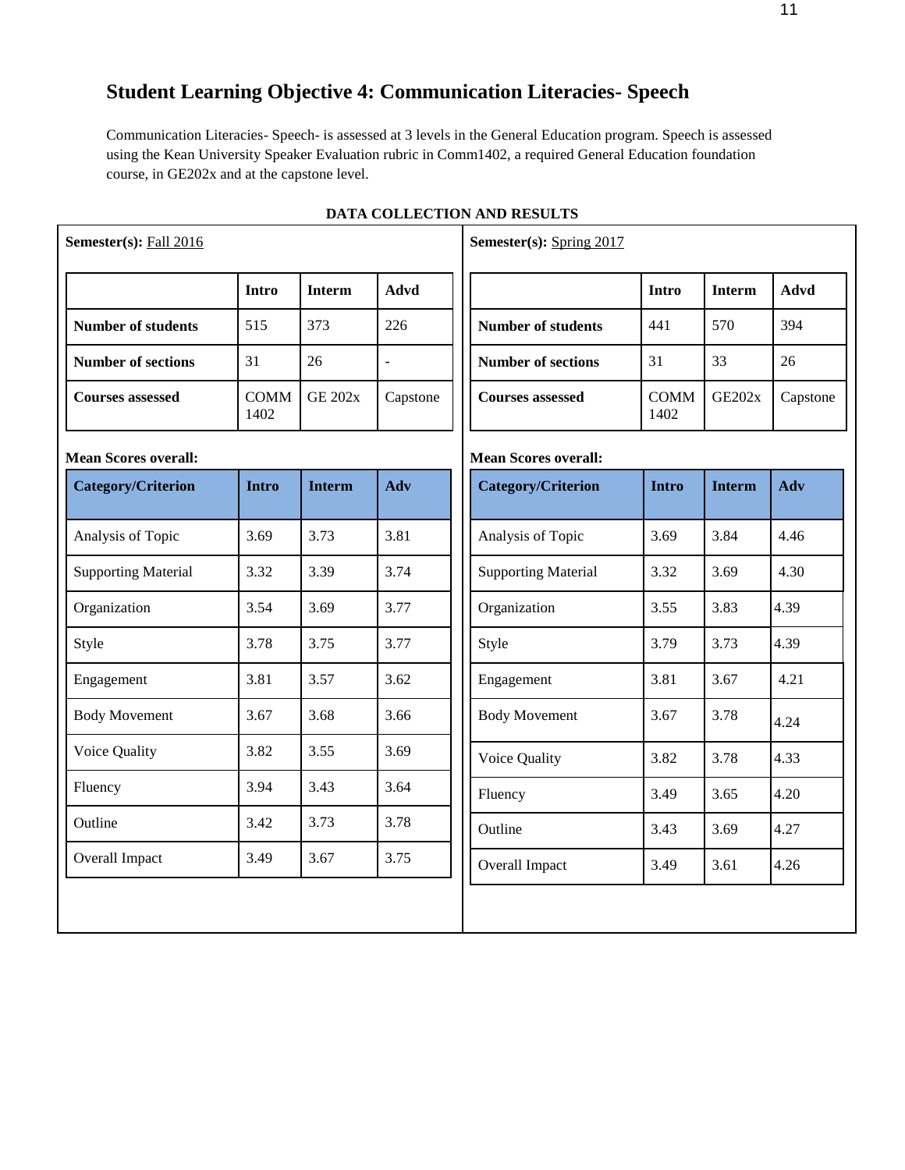# **Student Learning Objective 4: Communication Literacies- Speech**

Communication Literacies- Speech- is assessed at 3 levels in the General Education program. Speech is assessed using the Kean University Speaker Evaluation rubric in Comm1402, a required General Education foundation course, in GE202x and at the capstone level.

| Semester(s): Fall 2016      |                     |                |                          | Semester(s): Spring 2017    |                     |               |             |
|-----------------------------|---------------------|----------------|--------------------------|-----------------------------|---------------------|---------------|-------------|
|                             | Intro               | <b>Interm</b>  | Advd                     |                             | Intro               | <b>Interm</b> | <b>Advd</b> |
| <b>Number of students</b>   | 515                 | 373            | 226                      | <b>Number of students</b>   | 441                 | 570           | 394         |
| <b>Number of sections</b>   | 31                  | 26             | $\overline{\phantom{a}}$ | <b>Number of sections</b>   | 31                  | 33            | 26          |
| <b>Courses assessed</b>     | <b>COMM</b><br>1402 | <b>GE 202x</b> | Capstone                 | <b>Courses assessed</b>     | <b>COMM</b><br>1402 | <b>GE202x</b> | Capstone    |
| <b>Mean Scores overall:</b> |                     |                |                          | <b>Mean Scores overall:</b> |                     |               |             |
| <b>Category/Criterion</b>   | <b>Intro</b>        | <b>Interm</b>  | Adv                      | <b>Category/Criterion</b>   | <b>Intro</b>        | <b>Interm</b> | Adv         |
| Analysis of Topic           | 3.69                | 3.73           | 3.81                     | Analysis of Topic           | 3.69                | 3.84          | 4.46        |
| <b>Supporting Material</b>  | 3.32                | 3.39           | 3.74                     | <b>Supporting Material</b>  | 3.32                | 3.69          | 4.30        |
| Organization                | 3.54                | 3.69           | 3.77                     | Organization                | 3.55                | 3.83          | 4.39        |
| Style                       | 3.78                | 3.75           | 3.77                     | Style                       | 3.79                | 3.73          | 4.39        |
| Engagement                  | 3.81                | 3.57           | 3.62                     | Engagement                  | 3.81                | 3.67          | 4.21        |
| <b>Body Movement</b>        | 3.67                | 3.68           | 3.66                     | <b>Body Movement</b>        | 3.67                | 3.78          | 4.24        |
| Voice Quality               | 3.82                | 3.55           | 3.69                     | Voice Quality               | 3.82                | 3.78          | 4.33        |
| Fluency                     | 3.94                | 3.43           | 3.64                     | Fluency                     | 3.49                | 3.65          | 4.20        |
| Outline                     | 3.42                | 3.73           | 3.78                     | Outline                     | 3.43                | 3.69          | 4.27        |
| Overall Impact              | 3.49                | 3.67           | 3.75                     | Overall Impact              | 3.49                | 3.61          | 4.26        |

# **DATA COLLECTION AND RESULTS**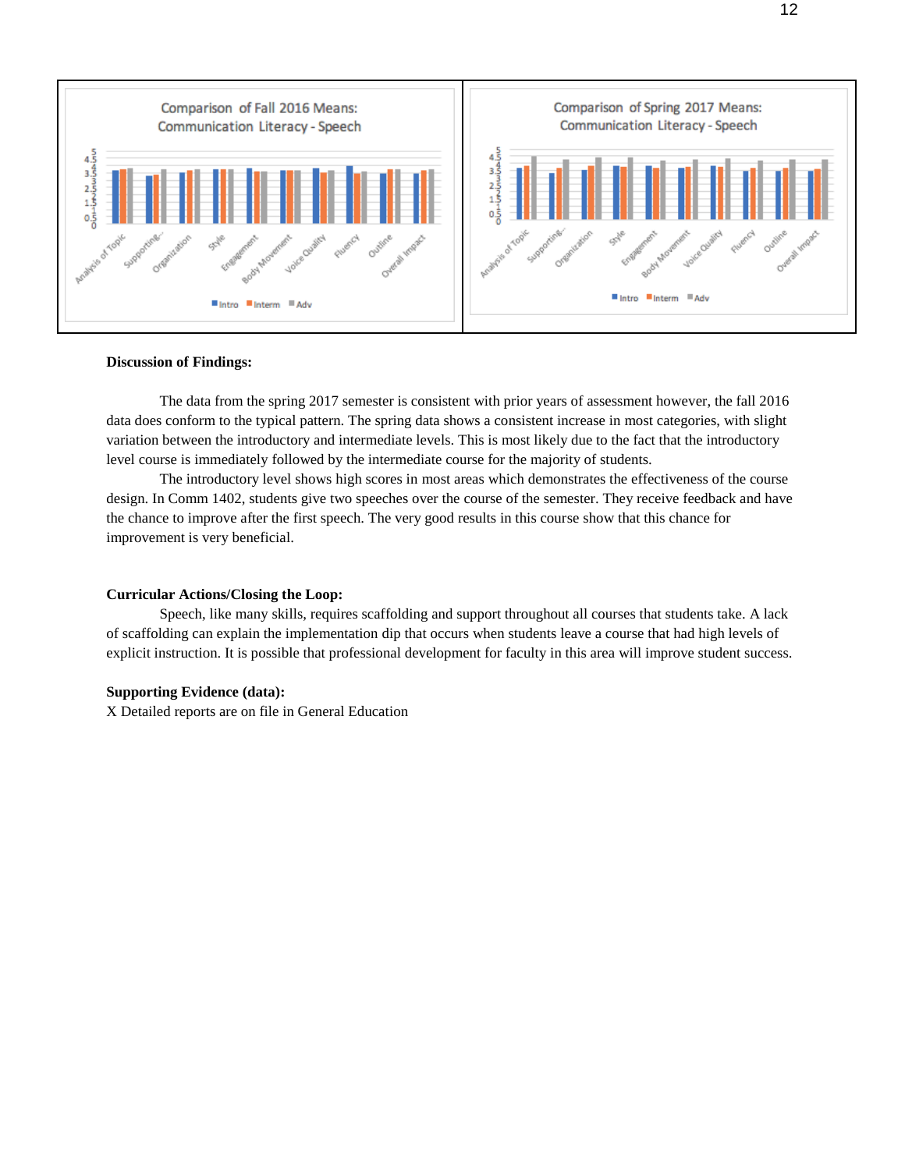

#### **Discussion of Findings:**

The data from the spring 2017 semester is consistent with prior years of assessment however, the fall 2016 data does conform to the typical pattern. The spring data shows a consistent increase in most categories, with slight variation between the introductory and intermediate levels. This is most likely due to the fact that the introductory level course is immediately followed by the intermediate course for the majority of students.

The introductory level shows high scores in most areas which demonstrates the effectiveness of the course design. In Comm 1402, students give two speeches over the course of the semester. They receive feedback and have the chance to improve after the first speech. The very good results in this course show that this chance for improvement is very beneficial.

#### **Curricular Actions/Closing the Loop:**

Speech, like many skills, requires scaffolding and support throughout all courses that students take. A lack of scaffolding can explain the implementation dip that occurs when students leave a course that had high levels of explicit instruction. It is possible that professional development for faculty in this area will improve student success.

### **Supporting Evidence (data):**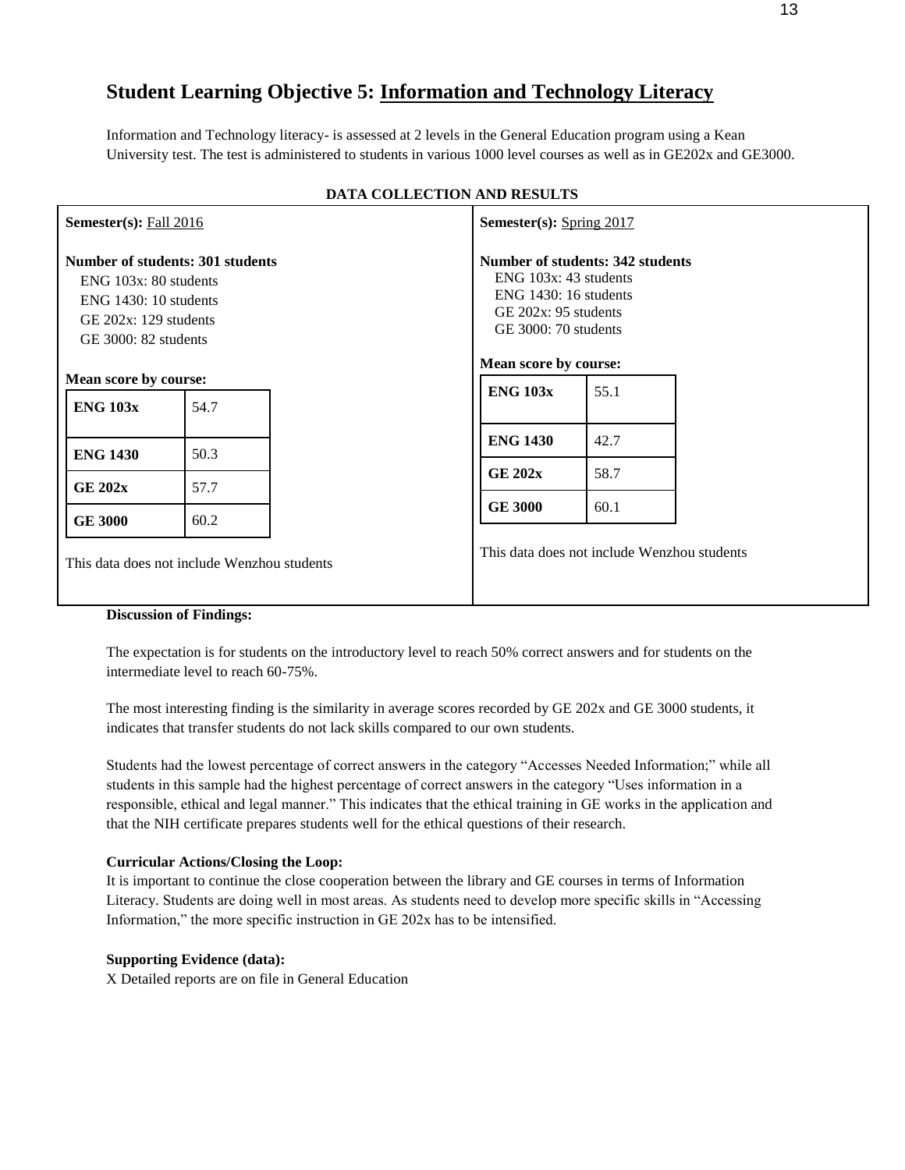# **Student Learning Objective 5: Information and Technology Literacy**

Information and Technology literacy- is assessed at 2 levels in the General Education program using a Kean University test. The test is administered to students in various 1000 level courses as well as in GE202x and GE3000.

| Semester(s): Fall 2016                                                                                                                               |                                                                                                                                                              |                                                                                                                                             | Semester(s): $Spring 2017$ |                                             |  |  |  |
|------------------------------------------------------------------------------------------------------------------------------------------------------|--------------------------------------------------------------------------------------------------------------------------------------------------------------|---------------------------------------------------------------------------------------------------------------------------------------------|----------------------------|---------------------------------------------|--|--|--|
| <b>Number of students: 301 students</b><br>$ENG$ 103 $x: 80$ students<br>$ENG$ 1430: 10 students<br>GE $202x$ : 129 students<br>GE 3000: 82 students |                                                                                                                                                              | Number of students: 342 students<br>$ENG$ 103 $x: 43$ students<br>$ENG$ 1430: 16 students<br>GE $202x: 95$ students<br>GE 3000: 70 students |                            |                                             |  |  |  |
| Mean score by course:                                                                                                                                |                                                                                                                                                              |                                                                                                                                             | Mean score by course:      |                                             |  |  |  |
| <b>ENG 103x</b>                                                                                                                                      | 54.7                                                                                                                                                         |                                                                                                                                             | <b>ENG 103x</b>            | 55.1                                        |  |  |  |
| <b>ENG 1430</b>                                                                                                                                      | 50.3                                                                                                                                                         |                                                                                                                                             | <b>ENG 1430</b>            | 42.7                                        |  |  |  |
| <b>GE 202x</b>                                                                                                                                       | 57.7                                                                                                                                                         |                                                                                                                                             | <b>GE 202x</b>             | 58.7                                        |  |  |  |
| <b>GE 3000</b>                                                                                                                                       | 60.2                                                                                                                                                         |                                                                                                                                             | <b>GE 3000</b>             | 60.1                                        |  |  |  |
|                                                                                                                                                      | This data does not include Wenzhou students<br>$\mathbf{D}^*$ and $\mathbf{D}^*$ and $\mathbf{D}^*$ and $\mathbf{D}^*$ and $\mathbf{D}^*$ and $\mathbf{D}^*$ |                                                                                                                                             |                            | This data does not include Wenzhou students |  |  |  |

## **DATA COLLECTION AND RESULTS**

#### **Discussion of Findings:**

The expectation is for students on the introductory level to reach 50% correct answers and for students on the intermediate level to reach 60-75%.

The most interesting finding is the similarity in average scores recorded by GE 202x and GE 3000 students, it indicates that transfer students do not lack skills compared to our own students.

Students had the lowest percentage of correct answers in the category "Accesses Needed Information;" while all students in this sample had the highest percentage of correct answers in the category "Uses information in a responsible, ethical and legal manner." This indicates that the ethical training in GE works in the application and that the NIH certificate prepares students well for the ethical questions of their research.

## **Curricular Actions/Closing the Loop:**

It is important to continue the close cooperation between the library and GE courses in terms of Information Literacy. Students are doing well in most areas. As students need to develop more specific skills in "Accessing Information," the more specific instruction in GE 202x has to be intensified.

## **Supporting Evidence (data):**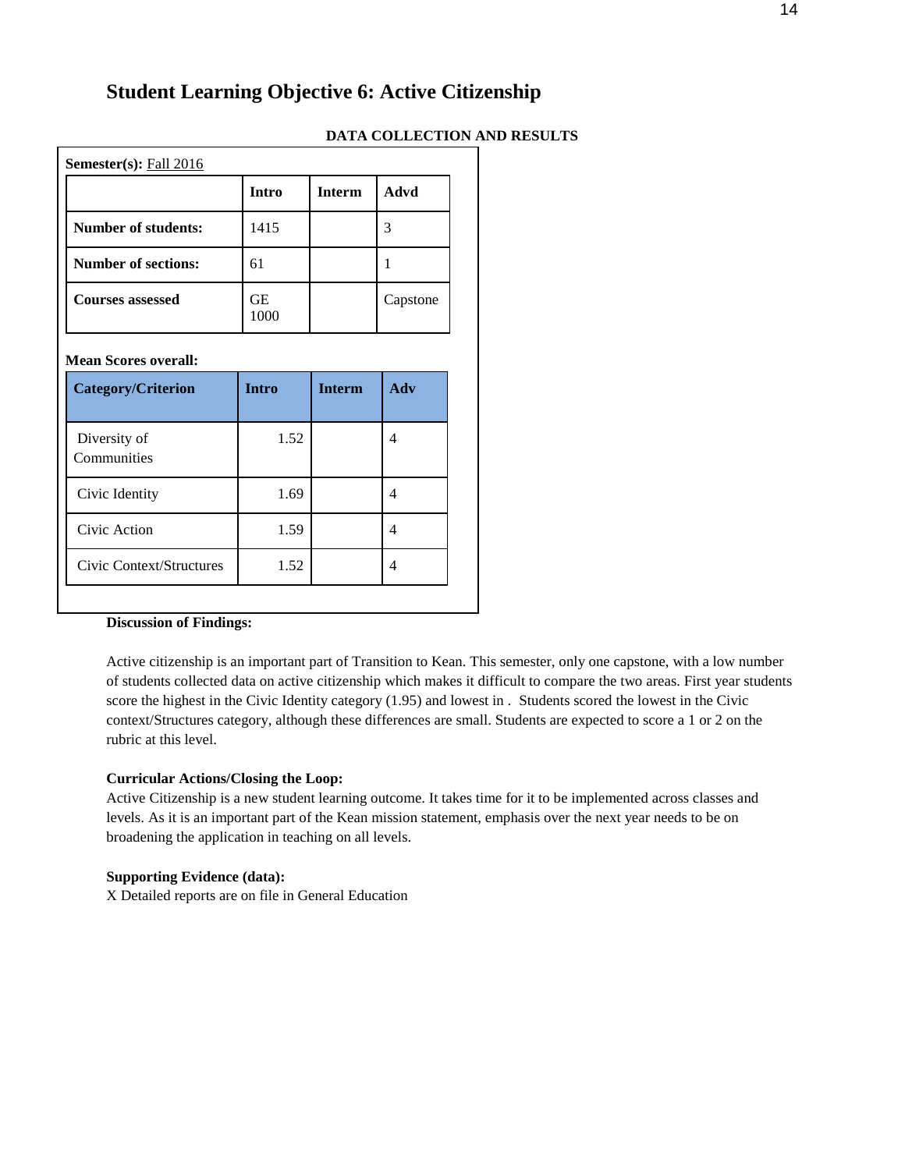# **Student Learning Objective 6: Active Citizenship**

#### **DATA COLLECTION AND RESULTS**

| Semester(s): Fall 2016     |            |               |          |  |  |  |  |
|----------------------------|------------|---------------|----------|--|--|--|--|
|                            | Intro      | <b>Interm</b> | Advd     |  |  |  |  |
| <b>Number of students:</b> | 1415       |               | 3        |  |  |  |  |
| <b>Number of sections:</b> | 61         |               |          |  |  |  |  |
| <b>Courses assessed</b>    | GЕ<br>1000 |               | Capstone |  |  |  |  |

## **Mean Scores overall:**

| <b>Category/Criterion</b>   | <b>Intro</b> | <b>Interm</b> | Adv |
|-----------------------------|--------------|---------------|-----|
| Diversity of<br>Communities | 1.52         |               | 4   |
| Civic Identity              | 1.69         |               |     |
| Civic Action                | 1.59         |               |     |
| Civic Context/Structures    | 1.52         |               |     |

## **Discussion of Findings:**

Active citizenship is an important part of Transition to Kean. This semester, only one capstone, with a low number of students collected data on active citizenship which makes it difficult to compare the two areas. First year students score the highest in the Civic Identity category (1.95) and lowest in . Students scored the lowest in the Civic context/Structures category, although these differences are small. Students are expected to score a 1 or 2 on the rubric at this level.

#### **Curricular Actions/Closing the Loop:**

Active Citizenship is a new student learning outcome. It takes time for it to be implemented across classes and levels. As it is an important part of the Kean mission statement, emphasis over the next year needs to be on broadening the application in teaching on all levels.

### **Supporting Evidence (data):**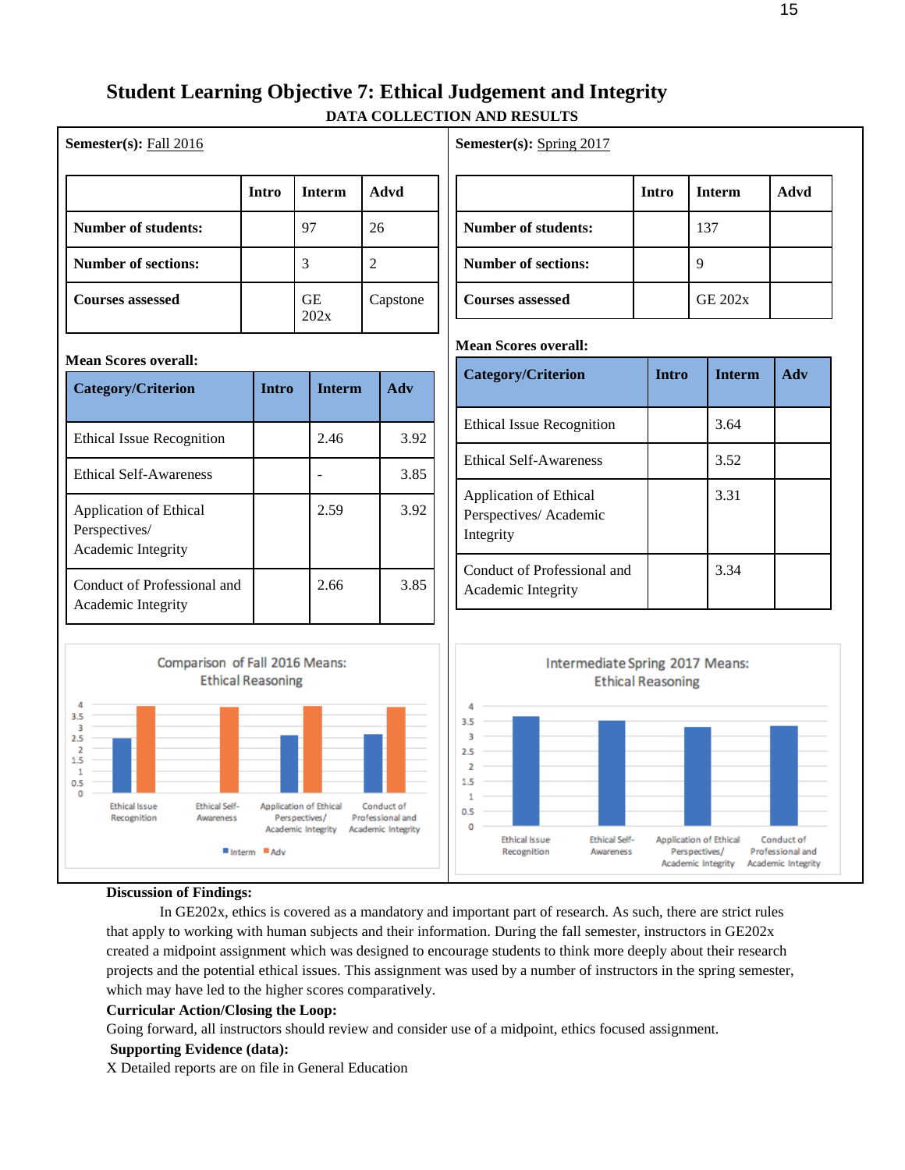# **Student Learning Objective 7: Ethical Judgement and Integrity DATA COLLECTION AND RESULTS**

|                            | Intro | <b>Interm</b> | Advd     |
|----------------------------|-------|---------------|----------|
| <b>Number of students:</b> |       | 97            | 26       |
| <b>Number of sections:</b> |       | 3             |          |
| <b>Courses assessed</b>    |       | GЕ<br>202x    | Capstone |

## **Semester(s):** Spring 2017

|                            | Intro | <b>Interm</b>  | Advd |
|----------------------------|-------|----------------|------|
| <b>Number of students:</b> |       | 137            |      |
| <b>Number of sections:</b> |       |                |      |
| <b>Courses assessed</b>    |       | <b>GE 202x</b> |      |

#### **Mean Scores overall:**

| Category/Criterion                                           | <b>Intro</b> | <b>Interm</b> | Adv |
|--------------------------------------------------------------|--------------|---------------|-----|
| Ethical Issue Recognition                                    |              | 3.64          |     |
| <b>Ethical Self-Awareness</b>                                |              | 3.52          |     |
| Application of Ethical<br>Perspectives/Academic<br>Integrity |              | 3.31          |     |
| Conduct of Professional and<br>Academic Integrity            |              | 3.34          |     |



### **Mean Scores overall:**

**Semester(s):** Fall 2016

| Category/Criterion                                            | <b>Intro</b> | <b>Interm</b> | Adv  |
|---------------------------------------------------------------|--------------|---------------|------|
| <b>Ethical Issue Recognition</b>                              |              | 2.46          | 3.92 |
| <b>Ethical Self-Awareness</b>                                 |              |               | 3.85 |
| Application of Ethical<br>Perspectives/<br>Academic Integrity |              | 2.59          | 3.92 |
| Conduct of Professional and<br>Academic Integrity             |              | 2.66          | 3.85 |



#### **Discussion of Findings:**

In GE202x, ethics is covered as a mandatory and important part of research. As such, there are strict rules that apply to working with human subjects and their information. During the fall semester, instructors in GE202x created a midpoint assignment which was designed to encourage students to think more deeply about their research projects and the potential ethical issues. This assignment was used by a number of instructors in the spring semester, which may have led to the higher scores comparatively.

#### **Curricular Action/Closing the Loop:**

Going forward, all instructors should review and consider use of a midpoint, ethics focused assignment.

#### **Supporting Evidence (data):**